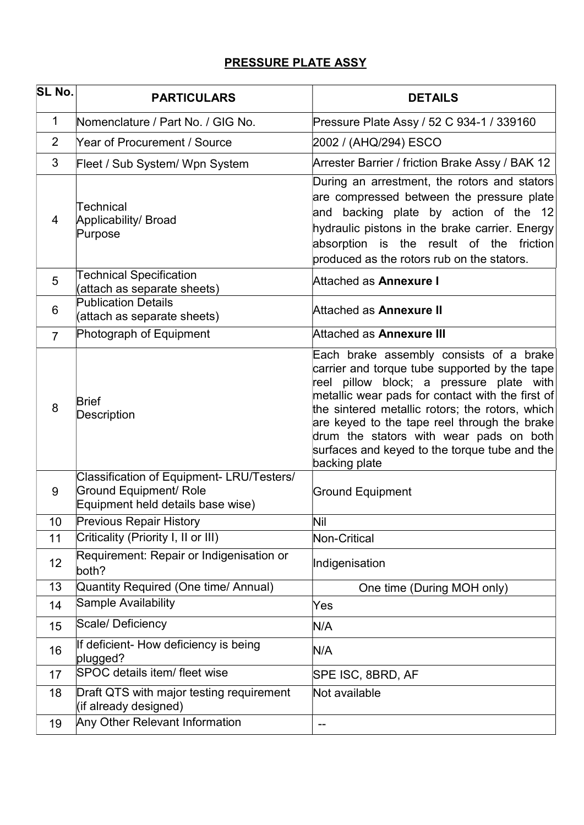# PRESSURE PLATE ASSY

| SL No.         | <b>PARTICULARS</b>                                                                                              | <b>DETAILS</b>                                                                                                                                                                                                                                                                                                                                                                                           |  |  |
|----------------|-----------------------------------------------------------------------------------------------------------------|----------------------------------------------------------------------------------------------------------------------------------------------------------------------------------------------------------------------------------------------------------------------------------------------------------------------------------------------------------------------------------------------------------|--|--|
| 1              | Nomenclature / Part No. / GIG No.                                                                               | Pressure Plate Assy / 52 C 934-1 / 339160                                                                                                                                                                                                                                                                                                                                                                |  |  |
| 2              | Year of Procurement / Source                                                                                    | 2002 / (AHQ/294) ESCO                                                                                                                                                                                                                                                                                                                                                                                    |  |  |
| 3              | Fleet / Sub System/ Wpn System                                                                                  | Arrester Barrier / friction Brake Assy / BAK 12                                                                                                                                                                                                                                                                                                                                                          |  |  |
| 4              | Technical<br>Applicability/ Broad<br>Purpose                                                                    | During an arrestment, the rotors and stators<br>are compressed between the pressure plate<br>and backing plate by action of the 12<br>hydraulic pistons in the brake carrier. Energy<br>absorption is the result of the friction<br>produced as the rotors rub on the stators.                                                                                                                           |  |  |
| 5              | <b>Technical Specification</b><br>(attach as separate sheets)                                                   | Attached as Annexure I                                                                                                                                                                                                                                                                                                                                                                                   |  |  |
| 6              | <b>Publication Details</b><br>(attach as separate sheets)                                                       | Attached as Annexure II                                                                                                                                                                                                                                                                                                                                                                                  |  |  |
| $\overline{7}$ | Photograph of Equipment                                                                                         | Attached as Annexure III                                                                                                                                                                                                                                                                                                                                                                                 |  |  |
| 8              | <b>Brief</b><br><b>Description</b>                                                                              | Each brake assembly consists of a brake<br>carrier and torque tube supported by the tape<br>reel pillow block; a pressure plate with<br>metallic wear pads for contact with the first of<br>the sintered metallic rotors; the rotors, which<br>are keyed to the tape reel through the brake<br>drum the stators with wear pads on both<br>surfaces and keyed to the torque tube and the<br>backing plate |  |  |
| 9              | Classification of Equipment- LRU/Testers/<br><b>Ground Equipment/ Role</b><br>Equipment held details base wise) | <b>Ground Equipment</b>                                                                                                                                                                                                                                                                                                                                                                                  |  |  |
| 10             | <b>Previous Repair History</b>                                                                                  | Nil                                                                                                                                                                                                                                                                                                                                                                                                      |  |  |
| 11             | Criticality (Priority I, II or III)                                                                             | Non-Critical                                                                                                                                                                                                                                                                                                                                                                                             |  |  |
| 12             | Requirement: Repair or Indigenisation or<br>both?                                                               | Indigenisation                                                                                                                                                                                                                                                                                                                                                                                           |  |  |
| 13             | Quantity Required (One time/ Annual)                                                                            | One time (During MOH only)                                                                                                                                                                                                                                                                                                                                                                               |  |  |
| 14             | Sample Availability                                                                                             | Yes                                                                                                                                                                                                                                                                                                                                                                                                      |  |  |
| 15             | Scale/Deficiency                                                                                                | N/A                                                                                                                                                                                                                                                                                                                                                                                                      |  |  |
| 16             | If deficient- How deficiency is being<br>plugged?                                                               | N/A                                                                                                                                                                                                                                                                                                                                                                                                      |  |  |
| 17             | SPOC details item/ fleet wise                                                                                   | SPE ISC, 8BRD, AF                                                                                                                                                                                                                                                                                                                                                                                        |  |  |
| 18             | Draft QTS with major testing requirement<br>(if already designed)                                               | Not available                                                                                                                                                                                                                                                                                                                                                                                            |  |  |
| 19             | Any Other Relevant Information                                                                                  |                                                                                                                                                                                                                                                                                                                                                                                                          |  |  |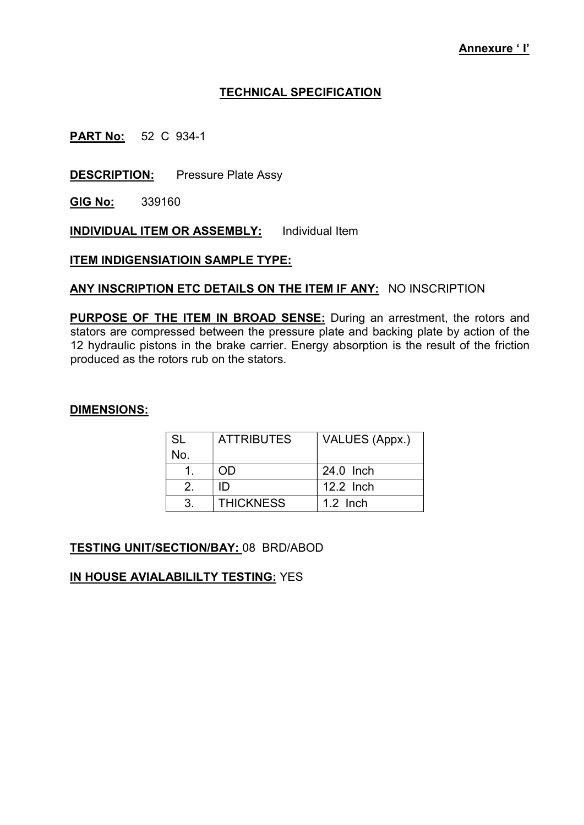### TECHNICAL SPECIFICATION

**PART No:** 52 C 934-1

**DESCRIPTION:** Pressure Plate Assy

GIG No: 339160

INDIVIDUAL ITEM OR ASSEMBLY: Individual Item

**ITEM INDIGENSIATIOIN SAMPLE TYPE:** 

ANY INSCRIPTION ETC DETAILS ON THE ITEM IF ANY: NO INSCRIPTION

PURPOSE OF THE ITEM IN BROAD SENSE: During an arrestment, the rotors and stators are compressed between the pressure plate and backing plate by action of the 12 hydraulic pistons in the brake carrier. Energy absorption is the result of the friction produced as the rotors rub on the stators.

#### DIMENSIONS:

| -SL | <b>ATTRIBUTES</b> | VALUES (Appx.) |
|-----|-------------------|----------------|
| No. |                   |                |
|     | ND                | 24.0 Inch      |
|     | ID                | 12.2 Inch      |
|     | <b>THICKNESS</b>  | $1.2$ Inch     |

**TESTING UNIT/SECTION/BAY: 08 BRD/ABOD** 

IN HOUSE AVIALABILILTY TESTING: YES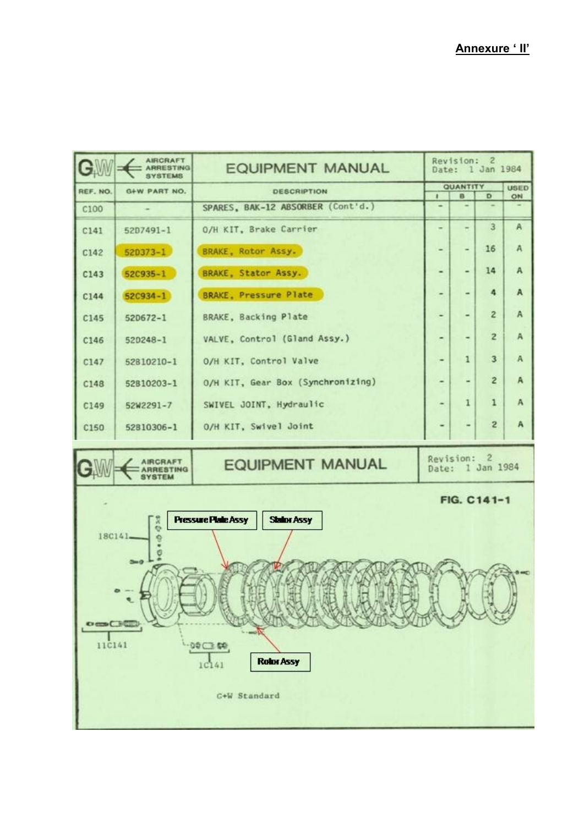| CW                                                                             | <b>AIRCRAFT</b><br><b>ARRESTING</b> | Revision: 2<br><b>EQUIPMENT MANUAL</b><br>Date: 1 Jan 1984 |                                |   |                   |              |  |  |  |  |
|--------------------------------------------------------------------------------|-------------------------------------|------------------------------------------------------------|--------------------------------|---|-------------------|--------------|--|--|--|--|
| REF. NO.                                                                       | G+W PART NO.                        | <b>DESCRIPTION</b>                                         | <b>QUANTITY</b><br>п<br>B<br>D |   | <b>USED</b><br>ON |              |  |  |  |  |
| C100                                                                           |                                     | SPARES, BAK-12 ABSORBER (Cont'd.)                          |                                |   |                   |              |  |  |  |  |
| C141                                                                           | $5207491 - 1$                       | O/H KIT, Brake Carrier                                     |                                |   | 3                 | $\mathbf{A}$ |  |  |  |  |
| C142                                                                           | $520373 - 1$                        | BRAKE, Rotor Assy.                                         |                                |   | 16                | А            |  |  |  |  |
| C143                                                                           | 52C935-1                            | BRAKE, Stator Assy.                                        |                                |   | 14                | А            |  |  |  |  |
| C144                                                                           | $52C934 - 1$                        | <b>BRAKE, Pressure Plate</b>                               |                                |   | 4                 | A            |  |  |  |  |
| C145                                                                           | 520672-1                            | BRAKE, Backing Plate                                       |                                | ۰ | $\overline{c}$    | A            |  |  |  |  |
| C146                                                                           | $520248 - 1$                        | VALVE, Control (Gland Assy.)                               |                                | ۰ | $\overline{2}$    | Α            |  |  |  |  |
| C147                                                                           | 52810210-1                          | O/H KIT, Control Valve                                     |                                | ı | 3                 | А            |  |  |  |  |
| C148                                                                           | 52810203-1                          | O/H KIT, Gear Box (Synchronizing)                          |                                |   | $\overline{c}$    | A            |  |  |  |  |
| C149                                                                           | 52W2291-7                           | SWIVEL JOINT, Hydraulic                                    |                                | 1 | 1                 | A            |  |  |  |  |
| C150                                                                           | 52810306-1                          | O/H KIT, Swivel Joint                                      |                                |   | $\mathbf{z}$      | А            |  |  |  |  |
|                                                                                | <b>AIRCRAFT</b><br><b>YRTEM</b>     | Revision: 2<br><b>EQUIPMENT MANUAL</b><br>Date: 1 Jan 1984 |                                |   |                   |              |  |  |  |  |
| FIG. C141-1                                                                    |                                     |                                                            |                                |   |                   |              |  |  |  |  |
| <b>Pressure Plate Assy</b><br><b>Status Assy</b><br>ă<br>$18C141 -$<br>$5 - 0$ |                                     |                                                            |                                |   |                   |              |  |  |  |  |